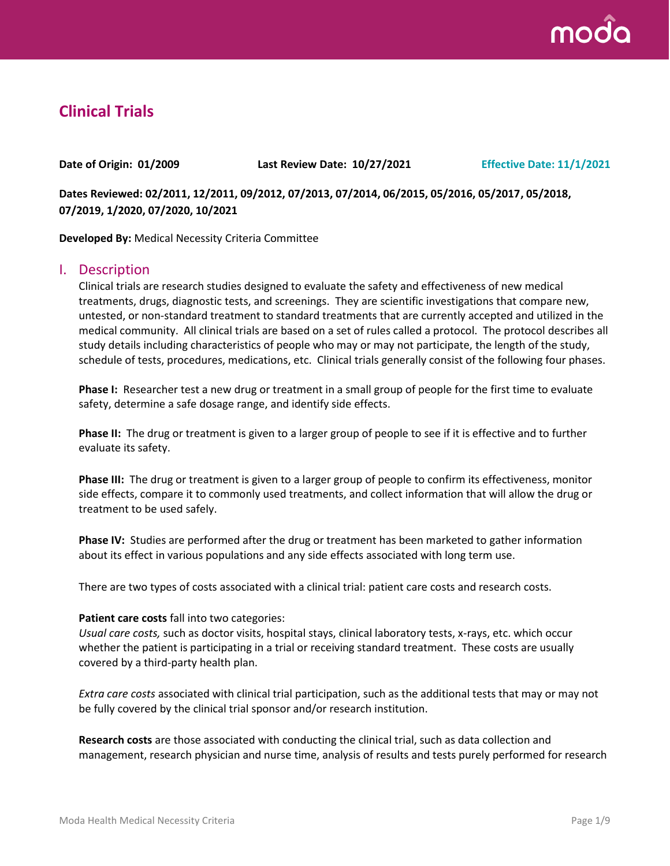

# **Clinical Trials**

**Date of Origin: 01/2009 Last Review Date: 10/27/2021 Effective Date: 11/1/2021**

**Dates Reviewed: 02/2011, 12/2011, 09/2012, 07/2013, 07/2014, 06/2015, 05/2016, 05/2017, 05/2018, 07/2019, 1/2020, 07/2020, 10/2021**

**Developed By:** Medical Necessity Criteria Committee

### I. Description

Clinical trials are research studies designed to evaluate the safety and effectiveness of new medical treatments, drugs, diagnostic tests, and screenings. They are scientific investigations that compare new, untested, or non-standard treatment to standard treatments that are currently accepted and utilized in the medical community. All clinical trials are based on a set of rules called a protocol. The protocol describes all study details including characteristics of people who may or may not participate, the length of the study, schedule of tests, procedures, medications, etc. Clinical trials generally consist of the following four phases.

**Phase I:** Researcher test a new drug or treatment in a small group of people for the first time to evaluate safety, determine a safe dosage range, and identify side effects.

**Phase II:** The drug or treatment is given to a larger group of people to see if it is effective and to further evaluate its safety.

**Phase III:** The drug or treatment is given to a larger group of people to confirm its effectiveness, monitor side effects, compare it to commonly used treatments, and collect information that will allow the drug or treatment to be used safely.

**Phase IV:** Studies are performed after the drug or treatment has been marketed to gather information about its effect in various populations and any side effects associated with long term use.

There are two types of costs associated with a clinical trial: patient care costs and research costs.

#### **Patient care costs** fall into two categories:

*Usual care costs,* such as doctor visits, hospital stays, clinical laboratory tests, x-rays, etc. which occur whether the patient is participating in a trial or receiving standard treatment. These costs are usually covered by a third-party health plan.

*Extra care costs* associated with clinical trial participation, such as the additional tests that may or may not be fully covered by the clinical trial sponsor and/or research institution.

**Research costs** are those associated with conducting the clinical trial, such as data collection and management, research physician and nurse time, analysis of results and tests purely performed for research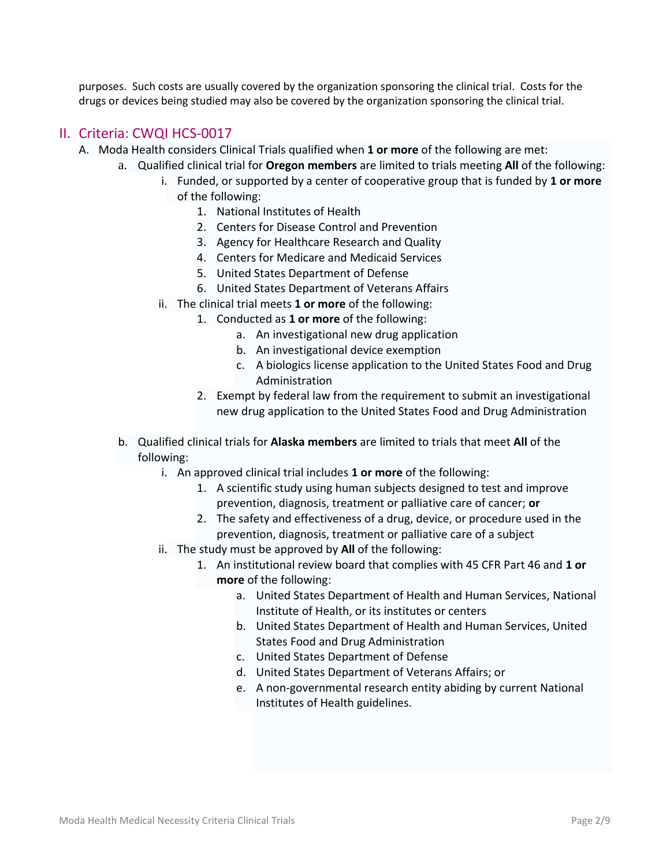purposes. Such costs are usually covered by the organization sponsoring the clinical trial. Costs for the drugs or devices being studied may also be covered by the organization sponsoring the clinical trial.

### II. Criteria: CWQI HCS-0017

- A. Moda Health considers Clinical Trials qualified when **1 or more** of the following are met:
	- a. Qualified clinical trial for **Oregon members** are limited to trials meeting **All** of the following:
		- i. Funded, or supported by a center of cooperative group that is funded by **1 or more**  of the following:
			- 1. National Institutes of Health
			- 2. Centers for Disease Control and Prevention
			- 3. Agency for Healthcare Research and Quality
			- 4. Centers for Medicare and Medicaid Services
			- 5. United States Department of Defense
			- 6. United States Department of Veterans Affairs
		- ii. The clinical trial meets **1 or more** of the following:
			- 1. Conducted as **1 or more** of the following:
				- a. An investigational new drug application
				- b. An investigational device exemption
				- c. A biologics license application to the United States Food and Drug Administration
				- 2. Exempt by federal law from the requirement to submit an investigational new drug application to the United States Food and Drug Administration
	- b. Qualified clinical trials for **Alaska members** are limited to trials that meet **All** of the following:
		- i. An approved clinical trial includes **1 or more** of the following:
			- 1. A scientific study using human subjects designed to test and improve prevention, diagnosis, treatment or palliative care of cancer; **or**
			- 2. The safety and effectiveness of a drug, device, or procedure used in the prevention, diagnosis, treatment or palliative care of a subject
		- ii. The study must be approved by **All** of the following:
			- 1. An institutional review board that complies with 45 CFR Part 46 and **1 or more** of the following:
				- a. United States Department of Health and Human Services, National Institute of Health, or its institutes or centers
				- b. United States Department of Health and Human Services, United States Food and Drug Administration
				- c. United States Department of Defense
				- d. United States Department of Veterans Affairs; or
				- e. A non-governmental research entity abiding by current National Institutes of Health guidelines.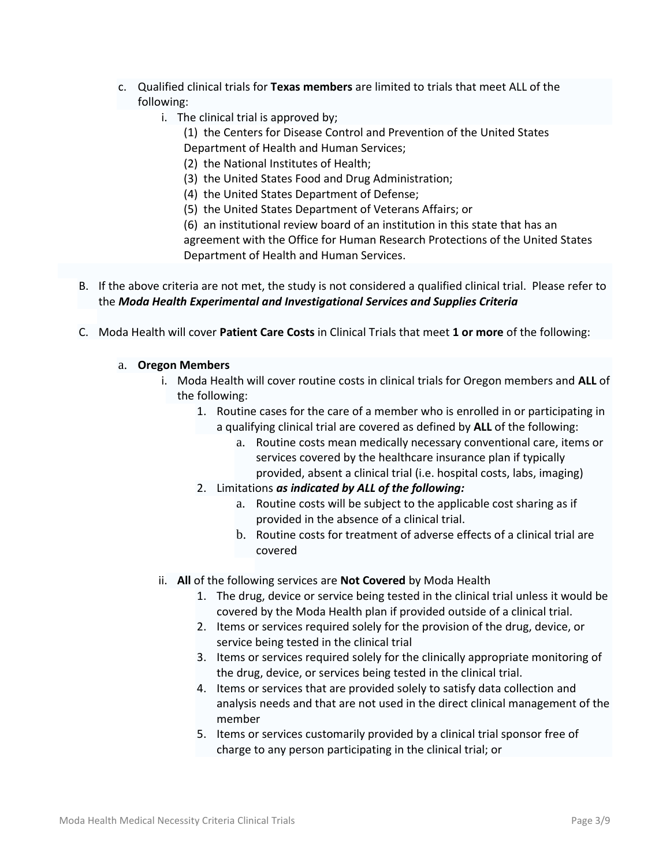- c. Qualified clinical trials for **Texas members** are limited to trials that meet ALL of the following:
	- i. The clinical trial is approved by;
		- (1) the Centers for Disease Control and Prevention of the United States Department of Health and Human Services;
		- (2) the National Institutes of Health;
		- (3) the United States Food and Drug Administration;
		- (4) the United States Department of Defense;
		- (5) the United States Department of Veterans Affairs; or

(6) an institutional review board of an institution in this state that has an agreement with the Office for Human Research Protections of the United States Department of Health and Human Services.

- B. If the above criteria are not met, the study is not considered a qualified clinical trial. Please refer to the *Moda Health Experimental and Investigational Services and Supplies Criteria*
- C. Moda Health will cover **Patient Care Costs** in Clinical Trials that meet **1 or more** of the following:

### a. **Oregon Members**

- i. Moda Health will cover routine costs in clinical trials for Oregon members and **ALL** of the following:
	- 1. Routine cases for the care of a member who is enrolled in or participating in a qualifying clinical trial are covered as defined by **ALL** of the following:
		- a. Routine costs mean medically necessary conventional care, items or services covered by the healthcare insurance plan if typically provided, absent a clinical trial (i.e. hospital costs, labs, imaging)
	- 2. Limitations *as indicated by ALL of the following:*
		- a. Routine costs will be subject to the applicable cost sharing as if provided in the absence of a clinical trial.
		- b. Routine costs for treatment of adverse effects of a clinical trial are covered
- ii. **All** of the following services are **Not Covered** by Moda Health
	- 1. The drug, device or service being tested in the clinical trial unless it would be covered by the Moda Health plan if provided outside of a clinical trial.
	- 2. Items or services required solely for the provision of the drug, device, or service being tested in the clinical trial
	- 3. Items or services required solely for the clinically appropriate monitoring of the drug, device, or services being tested in the clinical trial.
	- 4. Items or services that are provided solely to satisfy data collection and analysis needs and that are not used in the direct clinical management of the member
	- 5. Items or services customarily provided by a clinical trial sponsor free of charge to any person participating in the clinical trial; or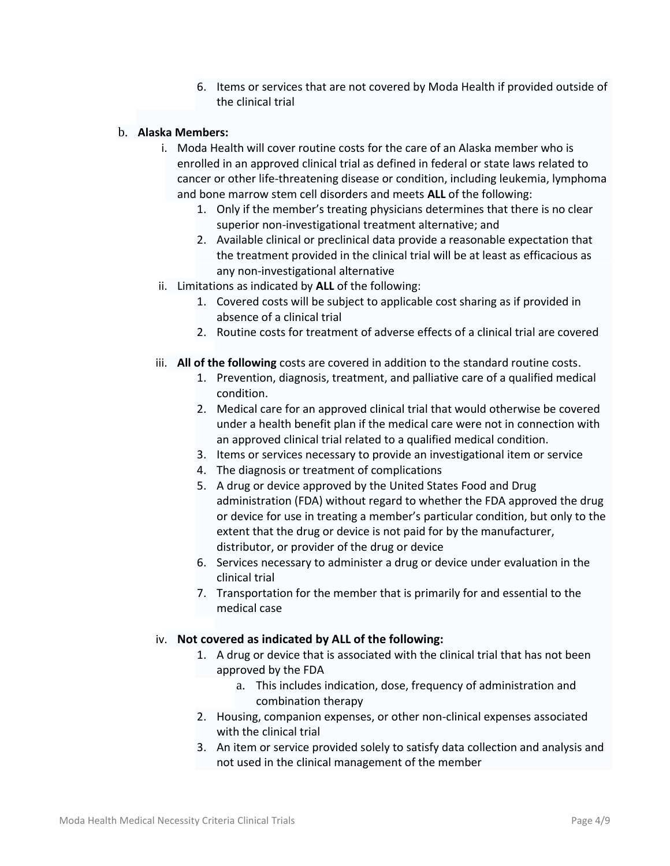6. Items or services that are not covered by Moda Health if provided outside of the clinical trial

### b. **Alaska Members:**

- i. Moda Health will cover routine costs for the care of an Alaska member who is enrolled in an approved clinical trial as defined in federal or state laws related to cancer or other life-threatening disease or condition, including leukemia, lymphoma and bone marrow stem cell disorders and meets **ALL** of the following:
	- 1. Only if the member's treating physicians determines that there is no clear superior non-investigational treatment alternative; and
	- 2. Available clinical or preclinical data provide a reasonable expectation that the treatment provided in the clinical trial will be at least as efficacious as any non-investigational alternative
- ii. Limitations as indicated by **ALL** of the following:
	- 1. Covered costs will be subject to applicable cost sharing as if provided in absence of a clinical trial
	- 2. Routine costs for treatment of adverse effects of a clinical trial are covered
- iii. **All of the following** costs are covered in addition to the standard routine costs.
	- 1. Prevention, diagnosis, treatment, and palliative care of a qualified medical condition.
	- 2. Medical care for an approved clinical trial that would otherwise be covered under a health benefit plan if the medical care were not in connection with an approved clinical trial related to a qualified medical condition.
	- 3. Items or services necessary to provide an investigational item or service
	- 4. The diagnosis or treatment of complications
	- 5. A drug or device approved by the United States Food and Drug administration (FDA) without regard to whether the FDA approved the drug or device for use in treating a member's particular condition, but only to the extent that the drug or device is not paid for by the manufacturer, distributor, or provider of the drug or device
	- 6. Services necessary to administer a drug or device under evaluation in the clinical trial
	- 7. Transportation for the member that is primarily for and essential to the medical case

#### iv. **Not covered as indicated by ALL of the following:**

- 1. A drug or device that is associated with the clinical trial that has not been approved by the FDA
	- a. This includes indication, dose, frequency of administration and combination therapy
- 2. Housing, companion expenses, or other non-clinical expenses associated with the clinical trial
- 3. An item or service provided solely to satisfy data collection and analysis and not used in the clinical management of the member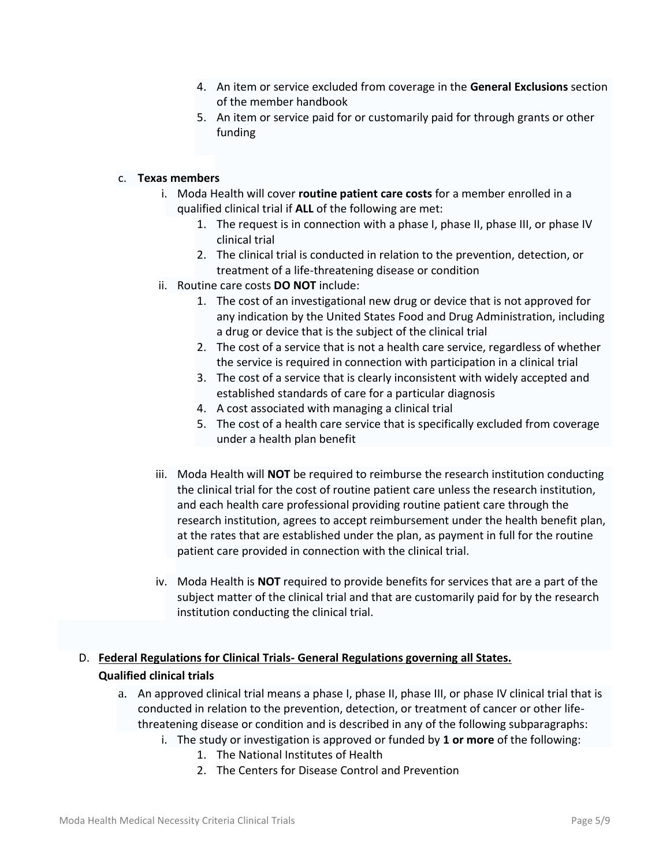- 4. An item or service excluded from coverage in the **General Exclusions** section of the member handbook
- 5. An item or service paid for or customarily paid for through grants or other funding

### c. **Texas members**

- i. Moda Health will cover **routine patient care costs** for a member enrolled in a qualified clinical trial if **ALL** of the following are met:
	- 1. The request is in connection with a phase I, phase II, phase III, or phase IV clinical trial
	- 2. The clinical trial is conducted in relation to the prevention, detection, or treatment of a life-threatening disease or condition
- ii. Routine care costs **DO NOT** include:
	- 1. The cost of an investigational new drug or device that is not approved for any indication by the United States Food and Drug Administration, including a drug or device that is the subject of the clinical trial
	- 2. The cost of a service that is not a health care service, regardless of whether the service is required in connection with participation in a clinical trial
	- 3. The cost of a service that is clearly inconsistent with widely accepted and established standards of care for a particular diagnosis
	- 4. A cost associated with managing a clinical trial
	- 5. The cost of a health care service that is specifically excluded from coverage under a health plan benefit
- iii. Moda Health will **NOT** be required to reimburse the research institution conducting the clinical trial for the cost of routine patient care unless the research institution, and each health care professional providing routine patient care through the research institution, agrees to accept reimbursement under the health benefit plan, at the rates that are established under the plan, as payment in full for the routine patient care provided in connection with the clinical trial.
- iv. Moda Health is **NOT** required to provide benefits for services that are a part of the subject matter of the clinical trial and that are customarily paid for by the research institution conducting the clinical trial.

## D. **Federal Regulations for Clinical Trials- General Regulations governing all States. Qualified clinical trials**

- a. An approved clinical trial means a phase I, phase II, phase III, or phase IV clinical trial that is conducted in relation to the prevention, detection, or treatment of cancer or other lifethreatening disease or condition and is described in any of the following subparagraphs:
	- i. The study or investigation is approved or funded by **1 or more** of the following:
		- 1. The National Institutes of Health
		- 2. The Centers for Disease Control and Prevention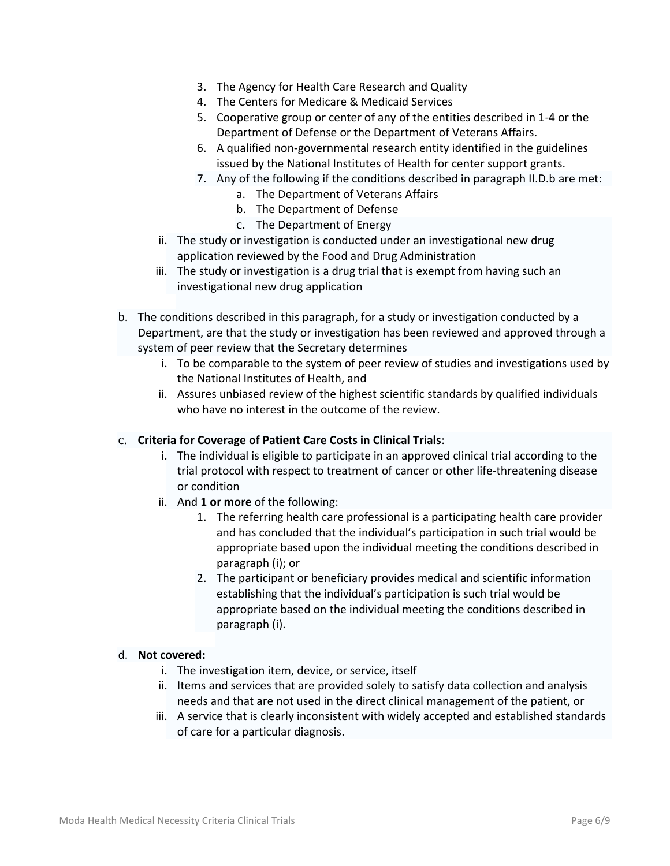- 3. The Agency for Health Care Research and Quality
- 4. The Centers for Medicare & Medicaid Services
- 5. Cooperative group or center of any of the entities described in 1-4 or the Department of Defense or the Department of Veterans Affairs.
- 6. A qualified non-governmental research entity identified in the guidelines issued by the National Institutes of Health for center support grants.
- 7. Any of the following if the conditions described in paragraph II.D.b are met:
	- a. The Department of Veterans Affairs
	- b. The Department of Defense
	- c. The Department of Energy
- ii. The study or investigation is conducted under an investigational new drug application reviewed by the Food and Drug Administration
- iii. The study or investigation is a drug trial that is exempt from having such an investigational new drug application
- b. The conditions described in this paragraph, for a study or investigation conducted by a Department, are that the study or investigation has been reviewed and approved through a system of peer review that the Secretary determines
	- i. To be comparable to the system of peer review of studies and investigations used by the National Institutes of Health, and
	- ii. Assures unbiased review of the highest scientific standards by qualified individuals who have no interest in the outcome of the review.

#### c. **Criteria for Coverage of Patient Care Costs in Clinical Trials**:

- i. The individual is eligible to participate in an approved clinical trial according to the trial protocol with respect to treatment of cancer or other life-threatening disease or condition
- ii. And **1 or more** of the following:
	- 1. The referring health care professional is a participating health care provider and has concluded that the individual's participation in such trial would be appropriate based upon the individual meeting the conditions described in paragraph (i); or
	- 2. The participant or beneficiary provides medical and scientific information establishing that the individual's participation is such trial would be appropriate based on the individual meeting the conditions described in paragraph (i).

#### d. **Not covered:**

- i. The investigation item, device, or service, itself
- ii. Items and services that are provided solely to satisfy data collection and analysis needs and that are not used in the direct clinical management of the patient, or
- iii. A service that is clearly inconsistent with widely accepted and established standards of care for a particular diagnosis.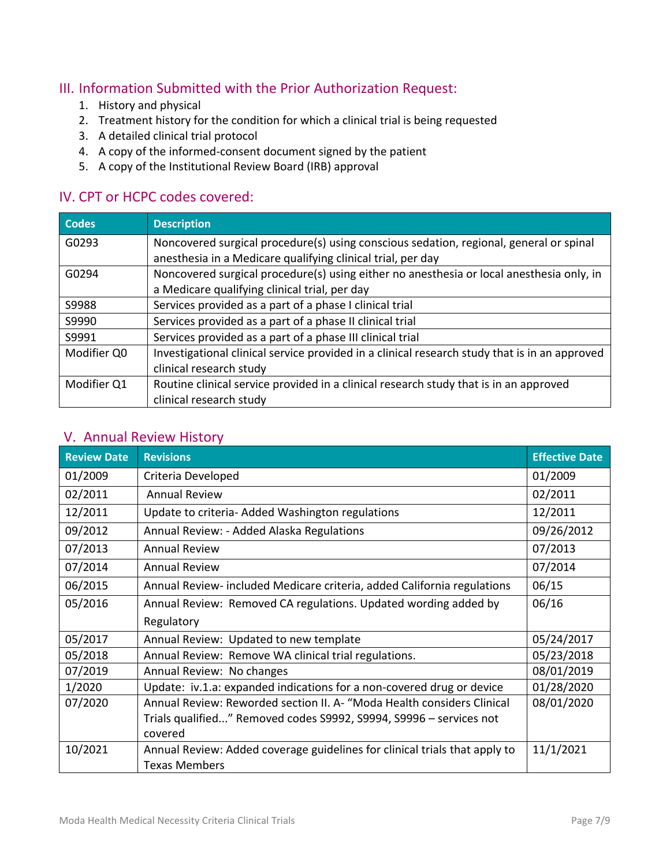## III. Information Submitted with the Prior Authorization Request:

- 1. History and physical
- 2. Treatment history for the condition for which a clinical trial is being requested
- 3. A detailed clinical trial protocol
- 4. A copy of the informed-consent document signed by the patient
- 5. A copy of the Institutional Review Board (IRB) approval

## IV. CPT or HCPC codes covered:

| Codes       | <b>Description</b>                                                                            |  |
|-------------|-----------------------------------------------------------------------------------------------|--|
| G0293       | Noncovered surgical procedure(s) using conscious sedation, regional, general or spinal        |  |
|             | anesthesia in a Medicare qualifying clinical trial, per day                                   |  |
| G0294       | Noncovered surgical procedure(s) using either no anesthesia or local anesthesia only, in      |  |
|             | a Medicare qualifying clinical trial, per day                                                 |  |
| S9988       | Services provided as a part of a phase I clinical trial                                       |  |
| S9990       | Services provided as a part of a phase II clinical trial                                      |  |
| S9991       | Services provided as a part of a phase III clinical trial                                     |  |
| Modifier Q0 | Investigational clinical service provided in a clinical research study that is in an approved |  |
|             | clinical research study                                                                       |  |
| Modifier Q1 | Routine clinical service provided in a clinical research study that is in an approved         |  |
|             | clinical research study                                                                       |  |

## V. Annual Review History

| <b>Review Date</b> | <b>Revisions</b>                                                           | <b>Effective Date</b> |
|--------------------|----------------------------------------------------------------------------|-----------------------|
| 01/2009            | Criteria Developed                                                         | 01/2009               |
| 02/2011            | <b>Annual Review</b>                                                       | 02/2011               |
| 12/2011            | Update to criteria- Added Washington regulations                           | 12/2011               |
| 09/2012            | Annual Review: - Added Alaska Regulations                                  | 09/26/2012            |
| 07/2013            | <b>Annual Review</b>                                                       | 07/2013               |
| 07/2014            | <b>Annual Review</b>                                                       | 07/2014               |
| 06/2015            | Annual Review-included Medicare criteria, added California regulations     | 06/15                 |
| 05/2016            | Annual Review: Removed CA regulations. Updated wording added by            | 06/16                 |
|                    | Regulatory                                                                 |                       |
| 05/2017            | Annual Review: Updated to new template                                     | 05/24/2017            |
| 05/2018            | Annual Review: Remove WA clinical trial regulations.                       | 05/23/2018            |
| 07/2019            | Annual Review: No changes                                                  | 08/01/2019            |
| 1/2020             | Update: iv.1.a: expanded indications for a non-covered drug or device      | 01/28/2020            |
| 07/2020            | Annual Review: Reworded section II. A- "Moda Health considers Clinical     | 08/01/2020            |
|                    | Trials qualified" Removed codes S9992, S9994, S9996 – services not         |                       |
|                    | covered                                                                    |                       |
| 10/2021            | Annual Review: Added coverage guidelines for clinical trials that apply to | 11/1/2021             |
|                    | <b>Texas Members</b>                                                       |                       |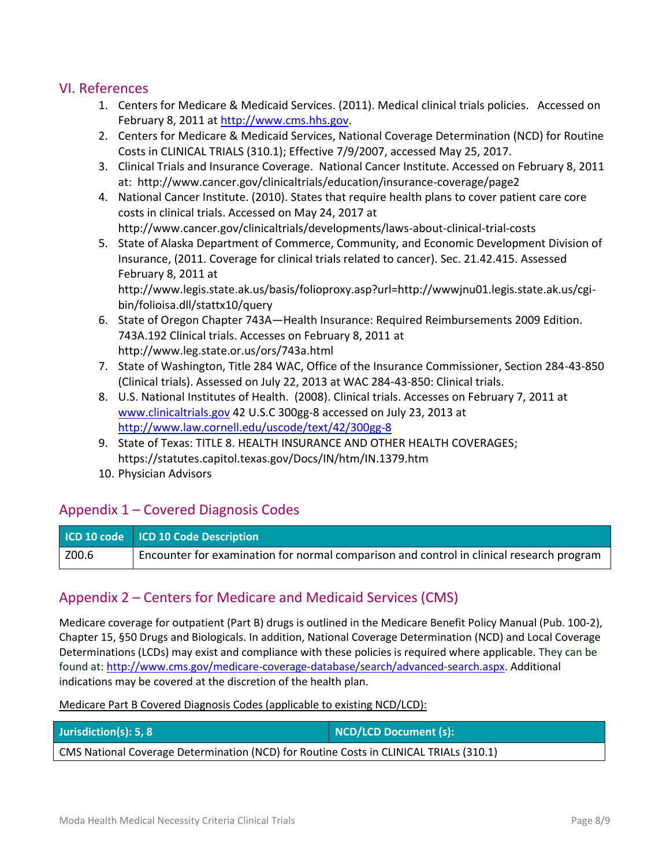### VI. References

- 1. Centers for Medicare & Medicaid Services. (2011). Medical clinical trials policies. Accessed on February 8, 2011 a[t http://www.cms.hhs.gov.](http://www.cms.hhs.gov/)
- 2. Centers for Medicare & Medicaid Services, National Coverage Determination (NCD) for Routine Costs in CLINICAL TRIALS (310.1); Effective 7/9/2007, accessed May 25, 2017.
- 3. Clinical Trials and Insurance Coverage. National Cancer Institute. Accessed on February 8, 2011 at: http://www.cancer.gov/clinicaltrials/education/insurance-coverage/page2
- 4. National Cancer Institute. (2010). States that require health plans to cover patient care core costs in clinical trials. Accessed on May 24, 2017 at http://www.cancer.gov/clinicaltrials/developments/laws-about-clinical-trial-costs
- 5. State of Alaska Department of Commerce, Community, and Economic Development Division of Insurance, (2011. Coverage for clinical trials related to cancer). Sec. 21.42.415. Assessed February 8, 2011 at

http://www.legis.state.ak.us/basis/folioproxy.asp?url=http://wwwjnu01.legis.state.ak.us/cgibin/folioisa.dll/stattx10/query

- 6. State of Oregon Chapter 743A—Health Insurance: Required Reimbursements 2009 Edition. 743A.192 Clinical trials. Accesses on February 8, 2011 at http://www.leg.state.or.us/ors/743a.html
- 7. State of Washington, Title 284 WAC, Office of the Insurance Commissioner, Section 284-43-850 (Clinical trials). Assessed on July 22, 2013 at WAC 284-43-850: Clinical trials.
- 8. U.S. National Institutes of Health. (2008). Clinical trials. Accesses on February 7, 2011 at [www.clinicaltrials.gov](http://www.clinicaltrials.gov/) 42 U.S.C 300gg-8 accessed on July 23, 2013 at <http://www.law.cornell.edu/uscode/text/42/300gg-8>
- 9. State of Texas: TITLE 8. HEALTH INSURANCE AND OTHER HEALTH COVERAGES; https://statutes.capitol.texas.gov/Docs/IN/htm/IN.1379.htm
- 10. Physician Advisors

## Appendix 1 – Covered Diagnosis Codes

|       | ICD 10 code   ICD 10 Code Description                                                    |
|-------|------------------------------------------------------------------------------------------|
| Z00.6 | Encounter for examination for normal comparison and control in clinical research program |

## Appendix 2 – Centers for Medicare and Medicaid Services (CMS)

Medicare coverage for outpatient (Part B) drugs is outlined in the Medicare Benefit Policy Manual (Pub. 100-2), Chapter 15, §50 Drugs and Biologicals. In addition, National Coverage Determination (NCD) and Local Coverage Determinations (LCDs) may exist and compliance with these policies is required where applicable. They can be found at: http://www.cms.gov/medicare-coverage-database/search/advanced-search.aspx. Additional indications may be covered at the discretion of the health plan.

Medicare Part B Covered Diagnosis Codes (applicable to existing NCD/LCD):

| Jurisdiction(s): 5, 8                                                                  | NCD/LCD Document (s): |  |  |  |
|----------------------------------------------------------------------------------------|-----------------------|--|--|--|
| CMS National Coverage Determination (NCD) for Routine Costs in CLINICAL TRIALs (310.1) |                       |  |  |  |